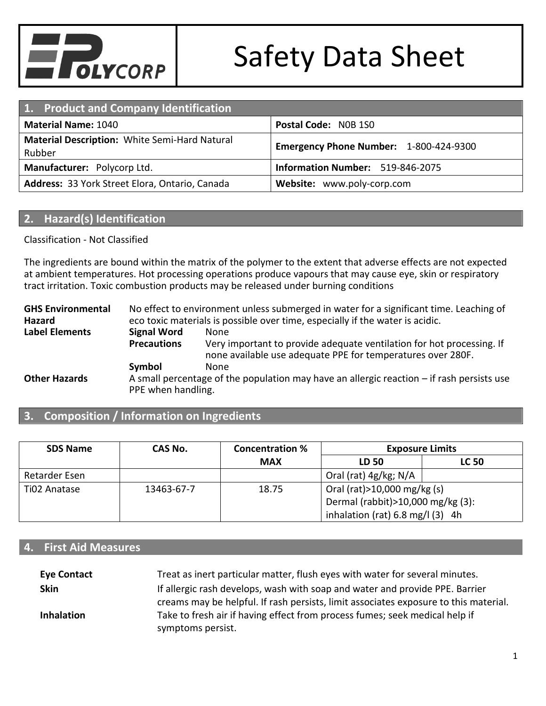

| 1. Product and Company Identification                                                             |                                  |  |  |
|---------------------------------------------------------------------------------------------------|----------------------------------|--|--|
| <b>Material Name: 1040</b>                                                                        | Postal Code: NOB 1SO             |  |  |
| Material Description: White Semi-Hard Natural<br>Emergency Phone Number: 1-800-424-9300<br>Rubber |                                  |  |  |
| Manufacturer: Polycorp Ltd.                                                                       | Information Number: 519-846-2075 |  |  |
| Address: 33 York Street Elora, Ontario, Canada                                                    | Website: www.poly-corp.com       |  |  |

#### **2. Hazard(s) Identification**

Classification - Not Classified

The ingredients are bound within the matrix of the polymer to the extent that adverse effects are not expected at ambient temperatures. Hot processing operations produce vapours that may cause eye, skin or respiratory tract irritation. Toxic combustion products may be released under burning conditions

**GHS Environmental Hazard** No effect to environment unless submerged in water for a significant time. Leaching of eco toxic materials is possible over time, especially if the water is acidic. **Label Elements Signal Word** None **Precautions** Very important to provide adequate ventilation for hot processing. If none available use adequate PPE for temperatures over 280F. **Symbol** None **Other Hazards** A small percentage of the population may have an allergic reaction – if rash persists use PPE when handling.

#### **3. Composition / Information on Ingredients**

| <b>SDS Name</b> | CAS No.    | <b>Concentration %</b> | <b>Exposure Limits</b>                     |              |
|-----------------|------------|------------------------|--------------------------------------------|--------------|
|                 |            | <b>MAX</b>             | LD 50                                      | <b>LC 50</b> |
| Retarder Esen   |            |                        | Oral (rat) 4g/kg; N/A                      |              |
| Ti02 Anatase    | 13463-67-7 | 18.75                  | Oral (rat) > 10,000 mg/kg (s)              |              |
|                 |            |                        | Dermal (rabbit) > 10,000 mg/kg (3):        |              |
|                 |            |                        | inhalation (rat) $6.8 \text{ mg/l}$ (3) 4h |              |

#### **4. First Aid Measures**

| <b>Eye Contact</b> | Treat as inert particular matter, flush eyes with water for several minutes.         |
|--------------------|--------------------------------------------------------------------------------------|
| <b>Skin</b>        | If allergic rash develops, wash with soap and water and provide PPE. Barrier         |
|                    | creams may be helpful. If rash persists, limit associates exposure to this material. |
| <b>Inhalation</b>  | Take to fresh air if having effect from process fumes; seek medical help if          |
|                    | symptoms persist.                                                                    |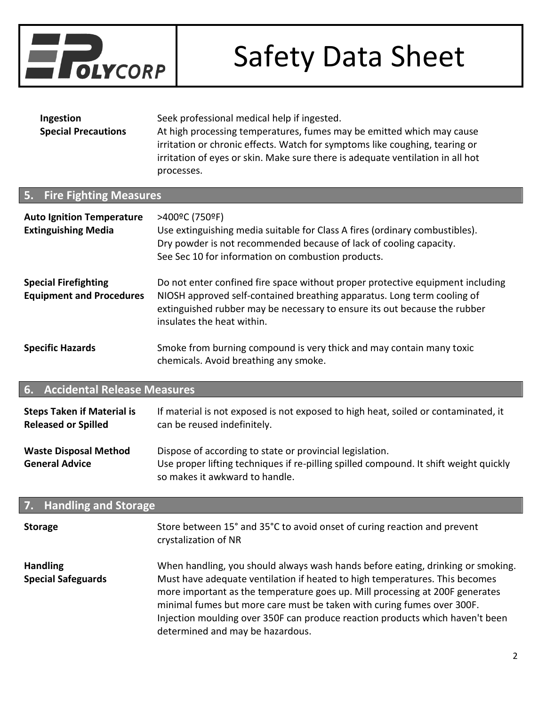

| Ingestion                  | Seek professional medical help if ingested.                                    |
|----------------------------|--------------------------------------------------------------------------------|
| <b>Special Precautions</b> | At high processing temperatures, fumes may be emitted which may cause          |
|                            | irritation or chronic effects. Watch for symptoms like coughing, tearing or    |
|                            | irritation of eyes or skin. Make sure there is adequate ventilation in all hot |
|                            | processes.                                                                     |

# **5. Fire Fighting Measures Auto Ignition Temperature** >400ºC (750ºF) **Extinguishing Media** Use extinguishing media suitable for Class A fires (ordinary combustibles). Dry powder is not recommended because of lack of cooling capacity. See Sec 10 for information on combustion products. **Special Firefighting Equipment and Procedures** Do not enter confined fire space without proper protective equipment including NIOSH approved self-contained breathing apparatus. Long term cooling of extinguished rubber may be necessary to ensure its out because the rubber insulates the heat within. **Specific Hazards** Smoke from burning compound is very thick and may contain many toxic chemicals. Avoid breathing any smoke.

#### **6. Accidental Release Measures**

| <b>Steps Taken if Material is</b>                     | If material is not exposed is not exposed to high heat, soiled or contaminated, it                                                                                                  |
|-------------------------------------------------------|-------------------------------------------------------------------------------------------------------------------------------------------------------------------------------------|
| <b>Released or Spilled</b>                            | can be reused indefinitely.                                                                                                                                                         |
| <b>Waste Disposal Method</b><br><b>General Advice</b> | Dispose of according to state or provincial legislation.<br>Use proper lifting techniques if re-pilling spilled compound. It shift weight quickly<br>so makes it awkward to handle. |

| 7. Handling and Storage                      |                                                                                                                                                                                                                                                                                                                                                                                                                                               |  |  |
|----------------------------------------------|-----------------------------------------------------------------------------------------------------------------------------------------------------------------------------------------------------------------------------------------------------------------------------------------------------------------------------------------------------------------------------------------------------------------------------------------------|--|--|
| <b>Storage</b>                               | Store between 15° and 35°C to avoid onset of curing reaction and prevent<br>crystalization of NR                                                                                                                                                                                                                                                                                                                                              |  |  |
| <b>Handling</b><br><b>Special Safeguards</b> | When handling, you should always wash hands before eating, drinking or smoking.<br>Must have adequate ventilation if heated to high temperatures. This becomes<br>more important as the temperature goes up. Mill processing at 200F generates<br>minimal fumes but more care must be taken with curing fumes over 300F.<br>Injection moulding over 350F can produce reaction products which haven't been<br>determined and may be hazardous. |  |  |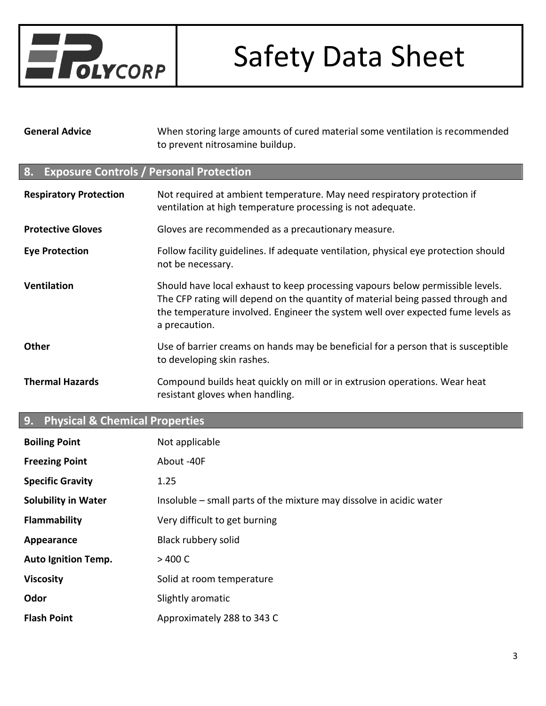

**General Advice** When storing large amounts of cured material some ventilation is recommended to prevent nitrosamine buildup.

### **8. Exposure Controls / Personal Protection**

| <b>Respiratory Protection</b> | Not required at ambient temperature. May need respiratory protection if<br>ventilation at high temperature processing is not adequate.                                                                                                                                |  |
|-------------------------------|-----------------------------------------------------------------------------------------------------------------------------------------------------------------------------------------------------------------------------------------------------------------------|--|
| <b>Protective Gloves</b>      | Gloves are recommended as a precautionary measure.                                                                                                                                                                                                                    |  |
| <b>Eye Protection</b>         | Follow facility guidelines. If adequate ventilation, physical eye protection should<br>not be necessary.                                                                                                                                                              |  |
| <b>Ventilation</b>            | Should have local exhaust to keep processing vapours below permissible levels.<br>The CFP rating will depend on the quantity of material being passed through and<br>the temperature involved. Engineer the system well over expected fume levels as<br>a precaution. |  |
| <b>Other</b>                  | Use of barrier creams on hands may be beneficial for a person that is susceptible<br>to developing skin rashes.                                                                                                                                                       |  |
| <b>Thermal Hazards</b>        | Compound builds heat quickly on mill or in extrusion operations. Wear heat<br>resistant gloves when handling.                                                                                                                                                         |  |

# **9. Physical & Chemical Properties**

| <b>Boiling Point</b>       | Not applicable                                                      |
|----------------------------|---------------------------------------------------------------------|
| <b>Freezing Point</b>      | About -40F                                                          |
| <b>Specific Gravity</b>    | 1.25                                                                |
| <b>Solubility in Water</b> | Insoluble – small parts of the mixture may dissolve in acidic water |
| <b>Flammability</b>        | Very difficult to get burning                                       |
| Appearance                 | Black rubbery solid                                                 |
| <b>Auto Ignition Temp.</b> | $>$ 400 C                                                           |
| <b>Viscosity</b>           | Solid at room temperature                                           |
| Odor                       | Slightly aromatic                                                   |
| <b>Flash Point</b>         | Approximately 288 to 343 C                                          |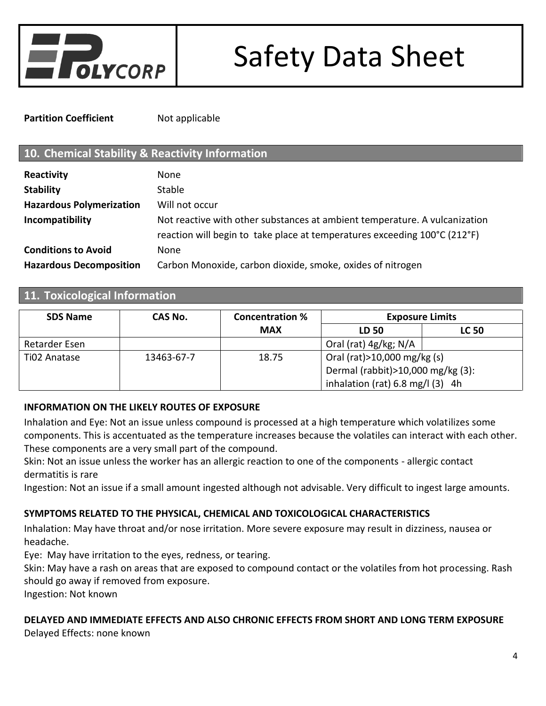

**Partition Coefficient** Not applicable

# **10. Chemical Stability & Reactivity Information**

| Reactivity                      | None                                                                                                                                                    |
|---------------------------------|---------------------------------------------------------------------------------------------------------------------------------------------------------|
| <b>Stability</b>                | <b>Stable</b>                                                                                                                                           |
| <b>Hazardous Polymerization</b> | Will not occur                                                                                                                                          |
| Incompatibility                 | Not reactive with other substances at ambient temperature. A vulcanization<br>reaction will begin to take place at temperatures exceeding 100°C (212°F) |
| <b>Conditions to Avoid</b>      | None                                                                                                                                                    |
| <b>Hazardous Decomposition</b>  | Carbon Monoxide, carbon dioxide, smoke, oxides of nitrogen                                                                                              |

# **11. Toxicological Information**

| <b>SDS Name</b> | CAS No.    | <b>Concentration %</b> | <b>Exposure Limits</b>                     |              |
|-----------------|------------|------------------------|--------------------------------------------|--------------|
|                 |            | <b>MAX</b>             | LD 50                                      | <b>LC 50</b> |
| Retarder Esen   |            |                        | Oral (rat) 4g/kg; N/A                      |              |
| Ti02 Anatase    | 13463-67-7 | 18.75                  | Oral (rat) > 10,000 mg/kg (s)              |              |
|                 |            |                        | Dermal (rabbit) > 10,000 mg/kg (3):        |              |
|                 |            |                        | inhalation (rat) $6.8 \text{ mg/l}$ (3) 4h |              |

### **INFORMATION ON THE LIKELY ROUTES OF EXPOSURE**

Inhalation and Eye: Not an issue unless compound is processed at a high temperature which volatilizes some components. This is accentuated as the temperature increases because the volatiles can interact with each other. These components are a very small part of the compound.

Skin: Not an issue unless the worker has an allergic reaction to one of the components - allergic contact dermatitis is rare

Ingestion: Not an issue if a small amount ingested although not advisable. Very difficult to ingest large amounts.

### **SYMPTOMS RELATED TO THE PHYSICAL, CHEMICAL AND TOXICOLOGICAL CHARACTERISTICS**

Inhalation: May have throat and/or nose irritation. More severe exposure may result in dizziness, nausea or headache.

Eye: May have irritation to the eyes, redness, or tearing.

Skin: May have a rash on areas that are exposed to compound contact or the volatiles from hot processing. Rash should go away if removed from exposure.

Ingestion: Not known

# **DELAYED AND IMMEDIATE EFFECTS AND ALSO CHRONIC EFFECTS FROM SHORT AND LONG TERM EXPOSURE**

Delayed Effects: none known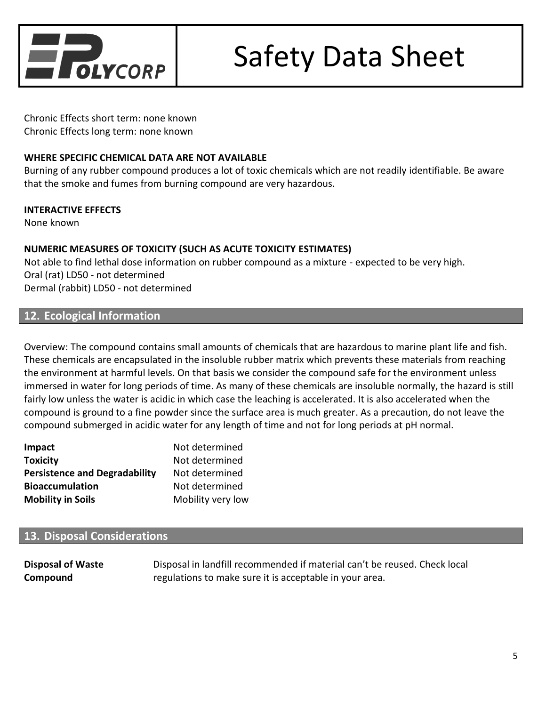

Chronic Effects short term: none known Chronic Effects long term: none known

#### **WHERE SPECIFIC CHEMICAL DATA ARE NOT AVAILABLE**

Burning of any rubber compound produces a lot of toxic chemicals which are not readily identifiable. Be aware that the smoke and fumes from burning compound are very hazardous.

#### **INTERACTIVE EFFECTS**

None known

#### **NUMERIC MEASURES OF TOXICITY (SUCH AS ACUTE TOXICITY ESTIMATES)**

Not able to find lethal dose information on rubber compound as a mixture - expected to be very high. Oral (rat) LD50 - not determined Dermal (rabbit) LD50 - not determined

### **12. Ecological Information**

Overview: The compound contains small amounts of chemicals that are hazardous to marine plant life and fish. These chemicals are encapsulated in the insoluble rubber matrix which prevents these materials from reaching the environment at harmful levels. On that basis we consider the compound safe for the environment unless immersed in water for long periods of time. As many of these chemicals are insoluble normally, the hazard is still fairly low unless the water is acidic in which case the leaching is accelerated. It is also accelerated when the compound is ground to a fine powder since the surface area is much greater. As a precaution, do not leave the compound submerged in acidic water for any length of time and not for long periods at pH normal.

| Impact                               | Not determined    |
|--------------------------------------|-------------------|
| <b>Toxicity</b>                      | Not determined    |
| <b>Persistence and Degradability</b> | Not determined    |
| <b>Bioaccumulation</b>               | Not determined    |
| <b>Mobility in Soils</b>             | Mobility very low |

# **13. Disposal Considerations**

**Disposal of Waste Compound** Disposal in landfill recommended if material can't be reused. Check local regulations to make sure it is acceptable in your area.